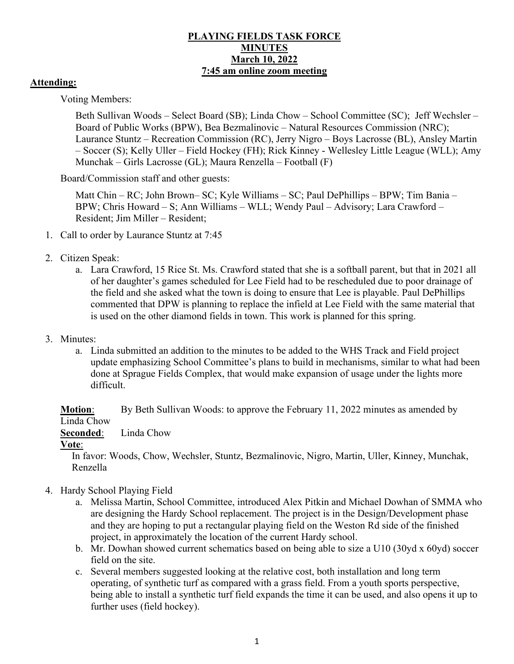### **PLAYING FIELDS TASK FORCE MINUTES March 10, 2022 7:45 am online zoom meeting**

### **Attending:**

Voting Members:

Beth Sullivan Woods – Select Board (SB); Linda Chow – School Committee (SC); Jeff Wechsler – Board of Public Works (BPW), Bea Bezmalinovic – Natural Resources Commission (NRC); Laurance Stuntz – Recreation Commission (RC), Jerry Nigro – Boys Lacrosse (BL), Ansley Martin – Soccer (S); Kelly Uller – Field Hockey (FH); Rick Kinney - Wellesley Little League (WLL); Amy Munchak – Girls Lacrosse (GL); Maura Renzella – Football (F)

Board/Commission staff and other guests:

Matt Chin – RC; John Brown– SC; Kyle Williams – SC; Paul DePhillips – BPW; Tim Bania – BPW; Chris Howard – S; Ann Williams – WLL; Wendy Paul – Advisory; Lara Crawford – Resident; Jim Miller – Resident;

- 1. Call to order by Laurance Stuntz at 7:45
- 2. Citizen Speak:
	- a. Lara Crawford, 15 Rice St. Ms. Crawford stated that she is a softball parent, but that in 2021 all of her daughter's games scheduled for Lee Field had to be rescheduled due to poor drainage of the field and she asked what the town is doing to ensure that Lee is playable. Paul DePhillips commented that DPW is planning to replace the infield at Lee Field with the same material that is used on the other diamond fields in town. This work is planned for this spring.
- 3. Minutes:
	- a. Linda submitted an addition to the minutes to be added to the WHS Track and Field project update emphasizing School Committee's plans to build in mechanisms, similar to what had been done at Sprague Fields Complex, that would make expansion of usage under the lights more difficult.

**Motion:** By Beth Sullivan Woods: to approve the February 11, 2022 minutes as amended by Linda Chow

**Seconded**: Linda Chow

#### **Vote**:

In favor: Woods, Chow, Wechsler, Stuntz, Bezmalinovic, Nigro, Martin, Uller, Kinney, Munchak, Renzella

- 4. Hardy School Playing Field
	- a. Melissa Martin, School Committee, introduced Alex Pitkin and Michael Dowhan of SMMA who are designing the Hardy School replacement. The project is in the Design/Development phase and they are hoping to put a rectangular playing field on the Weston Rd side of the finished project, in approximately the location of the current Hardy school.
	- b. Mr. Dowhan showed current schematics based on being able to size a U10 (30yd x 60yd) soccer field on the site.
	- c. Several members suggested looking at the relative cost, both installation and long term operating, of synthetic turf as compared with a grass field. From a youth sports perspective, being able to install a synthetic turf field expands the time it can be used, and also opens it up to further uses (field hockey).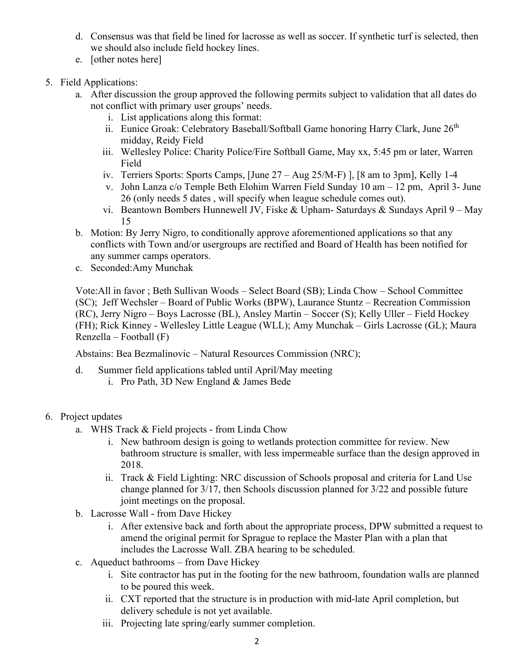- d. Consensus was that field be lined for lacrosse as well as soccer. If synthetic turf is selected, then we should also include field hockey lines.
- e. [other notes here]

# 5. Field Applications:

- a. After discussion the group approved the following permits subject to validation that all dates do not conflict with primary user groups' needs.
	- i. List applications along this format:
	- ii. Eunice Groak: Celebratory Baseball/Softball Game honoring Harry Clark, June 26<sup>th</sup> midday, Reidy Field
	- iii. Wellesley Police: Charity Police/Fire Softball Game, May xx, 5:45 pm or later, Warren Field
	- iv. Terriers Sports: Sports Camps, [June 27 Aug 25/M-F) ], [8 am to 3pm], Kelly 1-4
	- v. John Lanza c/o Temple Beth Elohim Warren Field Sunday 10 am 12 pm, April 3- June 26 (only needs 5 dates , will specify when league schedule comes out).
	- vi. Beantown Bombers Hunnewell JV, Fiske & Upham- Saturdays & Sundays April 9 May 15
- b. Motion: By Jerry Nigro, to conditionally approve aforementioned applications so that any conflicts with Town and/or usergroups are rectified and Board of Health has been notified for any summer camps operators.
- c. Seconded:Amy Munchak

Vote:All in favor ; Beth Sullivan Woods – Select Board (SB); Linda Chow – School Committee (SC); Jeff Wechsler – Board of Public Works (BPW), Laurance Stuntz – Recreation Commission (RC), Jerry Nigro – Boys Lacrosse (BL), Ansley Martin – Soccer (S); Kelly Uller – Field Hockey (FH); Rick Kinney - Wellesley Little League (WLL); Amy Munchak – Girls Lacrosse (GL); Maura Renzella – Football (F)

Abstains: Bea Bezmalinovic – Natural Resources Commission (NRC);

- d. Summer field applications tabled until April/May meeting
	- i. Pro Path, 3D New England & James Bede
- 6. Project updates
	- a. WHS Track & Field projects from Linda Chow
		- i. New bathroom design is going to wetlands protection committee for review. New bathroom structure is smaller, with less impermeable surface than the design approved in 2018.
		- ii. Track & Field Lighting: NRC discussion of Schools proposal and criteria for Land Use change planned for 3/17, then Schools discussion planned for 3/22 and possible future joint meetings on the proposal.
	- b. Lacrosse Wall from Dave Hickey
		- i. After extensive back and forth about the appropriate process, DPW submitted a request to amend the original permit for Sprague to replace the Master Plan with a plan that includes the Lacrosse Wall. ZBA hearing to be scheduled.
	- c. Aqueduct bathrooms from Dave Hickey
		- i. Site contractor has put in the footing for the new bathroom, foundation walls are planned to be poured this week.
		- ii. CXT reported that the structure is in production with mid-late April completion, but delivery schedule is not yet available.
		- iii. Projecting late spring/early summer completion.